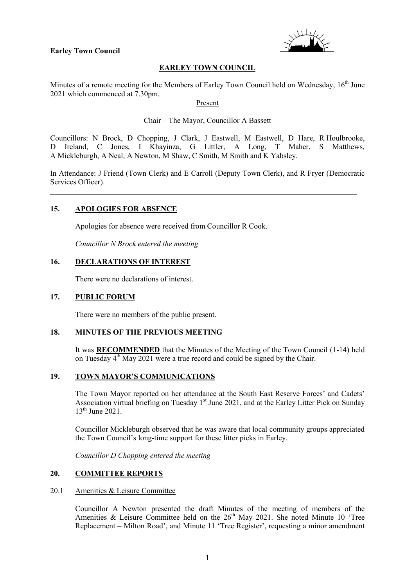#### **Earley Town Council**



### **EARLEY TOWN COUNCIL**

Minutes of a remote meeting for the Members of Earley Town Council held on Wednesday, 16<sup>th</sup> June 2021 which commenced at 7.30pm.

Present

Chair – The Mayor, Councillor A Bassett

Councillors: N Brock, D Chopping, J Clark, J Eastwell, M Eastwell, D Hare, R Houlbrooke, D Ireland, C Jones, I Khayinza, G Littler, A Long, T Maher, S Matthews, A Mickleburgh, A Neal, A Newton, M Shaw, C Smith, M Smith and K Yabsley.

In Attendance: J Friend (Town Clerk) and E Carroll (Deputy Town Clerk), and R Fryer (Democratic Services Officer).

\_\_\_\_\_\_\_\_\_\_\_\_\_\_\_\_\_\_\_\_\_\_\_\_\_\_\_\_\_\_\_\_\_\_\_\_\_\_\_\_\_\_\_\_\_\_\_\_\_\_\_\_\_\_\_\_\_\_\_\_\_\_\_\_\_\_\_\_\_\_\_\_\_\_\_\_\_\_\_\_

#### **15. APOLOGIES FOR ABSENCE**

Apologies for absence were received from Councillor R Cook.

*Councillor N Brock entered the meeting*

### **16. DECLARATIONS OF INTEREST**

There were no declarations of interest.

#### **17. PUBLIC FORUM**

There were no members of the public present.

# **18. MINUTES OF THE PREVIOUS MEETING**

It was **RECOMMENDED** that the Minutes of the Meeting of the Town Council (1-14) held on Tuesday 4<sup>th</sup> May 2021 were a true record and could be signed by the Chair.

### **19. TOWN MAYOR'S COMMUNICATIONS**

The Town Mayor reported on her attendance at the South East Reserve Forces' and Cadets' Association virtual briefing on Tuesday  $1<sup>st</sup>$  June 2021, and at the Earley Litter Pick on Sunday 13<sup>th</sup> June 2021.

Councillor Mickleburgh observed that he was aware that local community groups appreciated the Town Council's long-time support for these litter picks in Earley.

*Councillor D Chopping entered the meeting*

### **20. COMMITTEE REPORTS**

#### 20.1 Amenities & Leisure Committee

Councillor A Newton presented the draft Minutes of the meeting of members of the Amenities & Leisure Committee held on the  $26<sup>th</sup>$  May 2021. She noted Minute 10 'Tree Replacement – Milton Road', and Minute 11 'Tree Register', requesting a minor amendment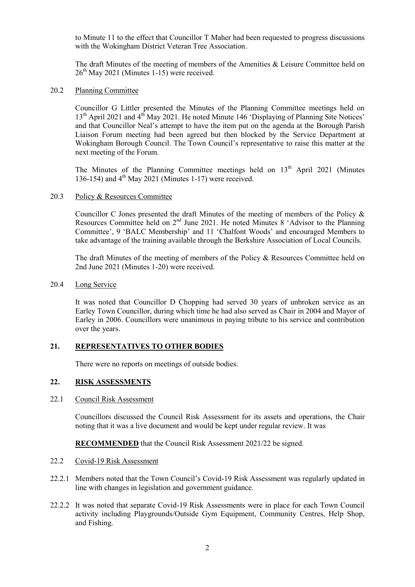to Minute 11 to the effect that Councillor T Maher had been requested to progress discussions with the Wokingham District Veteran Tree Association.

The draft Minutes of the meeting of members of the Amenities  $\&$  Leisure Committee held on  $26<sup>th</sup>$  May 2021 (Minutes 1-15) were received.

### 20.2 Planning Committee

Councillor G Littler presented the Minutes of the Planning Committee meetings held on 13<sup>th</sup> April 2021 and 4<sup>th</sup> May 2021. He noted Minute 146 'Displaying of Planning Site Notices' and that Councillor Neal's attempt to have the item put on the agenda at the Borough Parish Liaison Forum meeting had been agreed but then blocked by the Service Department at Wokingham Borough Council. The Town Council's representative to raise this matter at the next meeting of the Forum.

The Minutes of the Planning Committee meetings held on  $13<sup>th</sup>$  April 2021 (Minutes 136-154) and 4<sup>th</sup> May 2021 (Minutes 1-17) were received.

#### 20.3 Policy & Resources Committee

Councillor C Jones presented the draft Minutes of the meeting of members of the Policy & Resources Committee held on 2<sup>nd</sup> June 2021. He noted Minutes 8 'Advisor to the Planning Committee', 9 'BALC Membership' and 11 'Chalfont Woods' and encouraged Members to take advantage of the training available through the Berkshire Association of Local Councils.

The draft Minutes of the meeting of members of the Policy & Resources Committee held on 2nd June 2021 (Minutes 1-20) were received.

20.4 Long Service

It was noted that Councillor D Chopping had served 30 years of unbroken service as an Earley Town Councillor, during which time he had also served as Chair in 2004 and Mayor of Earley in 2006. Councillors were unanimous in paying tribute to his service and contribution over the years.

### **21. REPRESENTATIVES TO OTHER BODIES**

There were no reports on meetings of outside bodies.

### **22. RISK ASSESSMENTS**

### 22.1 Council Risk Assessment

Councillors discussed the Council Risk Assessment for its assets and operations, the Chair noting that it was a live document and would be kept under regular review. It was

**RECOMMENDED** that the Council Risk Assessment 2021/22 be signed.

#### 22.2 Covid-19 Risk Assessment

- 22.2.1 Members noted that the Town Council's Covid-19 Risk Assessment was regularly updated in line with changes in legislation and government guidance.
- 22.2.2 It was noted that separate Covid-19 Risk Assessments were in place for each Town Council activity including Playgrounds/Outside Gym Equipment, Community Centres, Help Shop, and Fishing.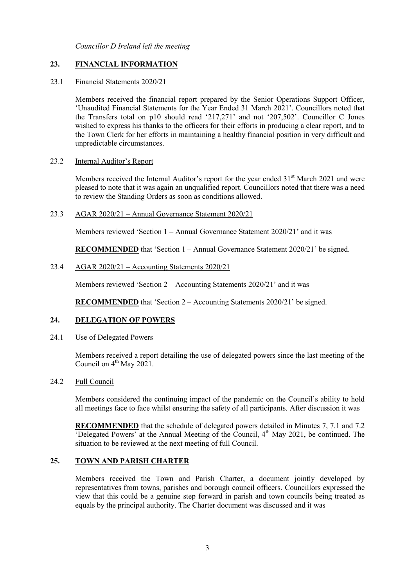*Councillor D Ireland left the meeting*

# **23. FINANCIAL INFORMATION**

### 23.1 Financial Statements 2020/21

Members received the financial report prepared by the Senior Operations Support Officer, 'Unaudited Financial Statements for the Year Ended 31 March 2021'. Councillors noted that the Transfers total on p10 should read '217,271' and not '207,502'. Councillor C Jones wished to express his thanks to the officers for their efforts in producing a clear report, and to the Town Clerk for her efforts in maintaining a healthy financial position in very difficult and unpredictable circumstances.

23.2 Internal Auditor's Report

Members received the Internal Auditor's report for the year ended 31<sup>st</sup> March 2021 and were pleased to note that it was again an unqualified report. Councillors noted that there was a need to review the Standing Orders as soon as conditions allowed.

### 23.3 AGAR 2020/21 – Annual Governance Statement 2020/21

Members reviewed 'Section 1 – Annual Governance Statement 2020/21' and it was

**RECOMMENDED** that 'Section 1 – Annual Governance Statement 2020/21' be signed.

### 23.4 AGAR 2020/21 – Accounting Statements 2020/21

Members reviewed 'Section 2 – Accounting Statements 2020/21' and it was

**RECOMMENDED** that 'Section 2 – Accounting Statements 2020/21' be signed.

# **24. DELEGATION OF POWERS**

#### 24.1 Use of Delegated Powers

Members received a report detailing the use of delegated powers since the last meeting of the Council on  $4^{th}$  May 2021.

### 24.2 Full Council

Members considered the continuing impact of the pandemic on the Council's ability to hold all meetings face to face whilst ensuring the safety of all participants. After discussion it was

**RECOMMENDED** that the schedule of delegated powers detailed in Minutes 7, 7.1 and 7.2 'Delegated Powers' at the Annual Meeting of the Council,  $4<sup>th</sup>$  May 2021, be continued. The situation to be reviewed at the next meeting of full Council.

### **25. TOWN AND PARISH CHARTER**

Members received the Town and Parish Charter, a document jointly developed by representatives from towns, parishes and borough council officers. Councillors expressed the view that this could be a genuine step forward in parish and town councils being treated as equals by the principal authority. The Charter document was discussed and it was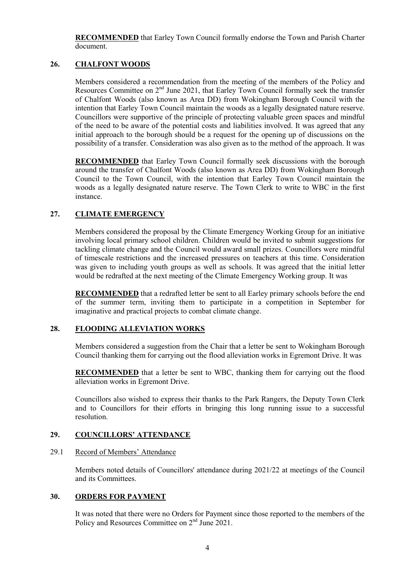**RECOMMENDED** that Earley Town Council formally endorse the Town and Parish Charter document.

### **26. CHALFONT WOODS**

Members considered a recommendation from the meeting of the members of the Policy and Resources Committee on 2<sup>nd</sup> June 2021, that Earley Town Council formally seek the transfer of Chalfont Woods (also known as Area DD) from Wokingham Borough Council with the intention that Earley Town Council maintain the woods as a legally designated nature reserve. Councillors were supportive of the principle of protecting valuable green spaces and mindful of the need to be aware of the potential costs and liabilities involved. It was agreed that any initial approach to the borough should be a request for the opening up of discussions on the possibility of a transfer. Consideration was also given as to the method of the approach. It was

**RECOMMENDED** that Earley Town Council formally seek discussions with the borough around the transfer of Chalfont Woods (also known as Area DD) from Wokingham Borough Council to the Town Council, with the intention that Earley Town Council maintain the woods as a legally designated nature reserve. The Town Clerk to write to WBC in the first instance.

# **27. CLIMATE EMERGENCY**

Members considered the proposal by the Climate Emergency Working Group for an initiative involving local primary school children. Children would be invited to submit suggestions for tackling climate change and the Council would award small prizes. Councillors were mindful of timescale restrictions and the increased pressures on teachers at this time. Consideration was given to including youth groups as well as schools. It was agreed that the initial letter would be redrafted at the next meeting of the Climate Emergency Working group. It was

**RECOMMENDED** that a redrafted letter be sent to all Earley primary schools before the end of the summer term, inviting them to participate in a competition in September for imaginative and practical projects to combat climate change.

#### **28. FLOODING ALLEVIATION WORKS**

Members considered a suggestion from the Chair that a letter be sent to Wokingham Borough Council thanking them for carrying out the flood alleviation works in Egremont Drive. It was

**RECOMMENDED** that a letter be sent to WBC, thanking them for carrying out the flood alleviation works in Egremont Drive.

Councillors also wished to express their thanks to the Park Rangers, the Deputy Town Clerk and to Councillors for their efforts in bringing this long running issue to a successful resolution.

### **29. COUNCILLORS' ATTENDANCE**

#### 29.1 Record of Members' Attendance

Members noted details of Councillors' attendance during 2021/22 at meetings of the Council and its Committees.

#### **30. ORDERS FOR PAYMENT**

It was noted that there were no Orders for Payment since those reported to the members of the Policy and Resources Committee on 2<sup>nd</sup> June 2021.